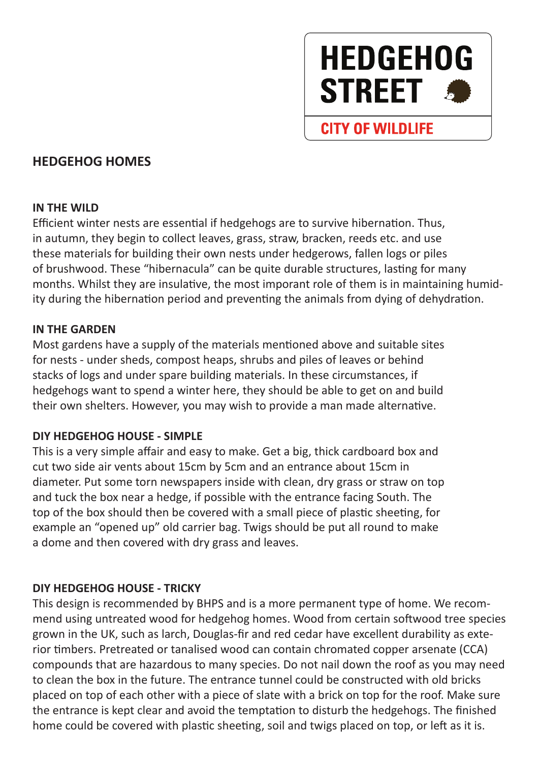# **HEDGEHOG STREET**

# **CITY OF WILDLIFE**

## **HEDGEHOG HOMES**

#### **IN THE WILD**

Efficient winter nests are essential if hedgehogs are to survive hibernation. Thus, in autumn, they begin to collect leaves, grass, straw, bracken, reeds etc. and use these materials for building their own nests under hedgerows, fallen logs or piles of brushwood. These "hibernacula" can be quite durable structures, lasting for many months. Whilst they are insulative, the most imporant role of them is in maintaining humidity during the hibernation period and preventing the animals from dying of dehydration.

#### **IN THE GARDEN**

Most gardens have a supply of the materials mentioned above and suitable sites for nests - under sheds, compost heaps, shrubs and piles of leaves or behind stacks of logs and under spare building materials. In these circumstances, if hedgehogs want to spend a winter here, they should be able to get on and build their own shelters. However, you may wish to provide a man made alternative.

#### **DIY HEDGEHOG HOUSE - SIMPLE**

This is a very simple affair and easy to make. Get a big, thick cardboard box and cut two side air vents about 15cm by 5cm and an entrance about 15cm in diameter. Put some torn newspapers inside with clean, dry grass or straw on top and tuck the box near a hedge, if possible with the entrance facing South. The top of the box should then be covered with a small piece of plastic sheeting, for example an "opened up" old carrier bag. Twigs should be put all round to make a dome and then covered with dry grass and leaves.

#### **DIY HEDGEHOG HOUSE - TRICKY**

This design is recommended by BHPS and is a more permanent type of home. We recommend using untreated wood for hedgehog homes. Wood from certain softwood tree species grown in the UK, such as larch, Douglas-fir and red cedar have excellent durability as exterior timbers. Pretreated or tanalised wood can contain chromated copper arsenate (CCA) compounds that are hazardous to many species. Do not nail down the roof as you may need to clean the box in the future. The entrance tunnel could be constructed with old bricks placed on top of each other with a piece of slate with a brick on top for the roof. Make sure the entrance is kept clear and avoid the temptation to disturb the hedgehogs. The finished home could be covered with plastic sheeting, soil and twigs placed on top, or left as it is.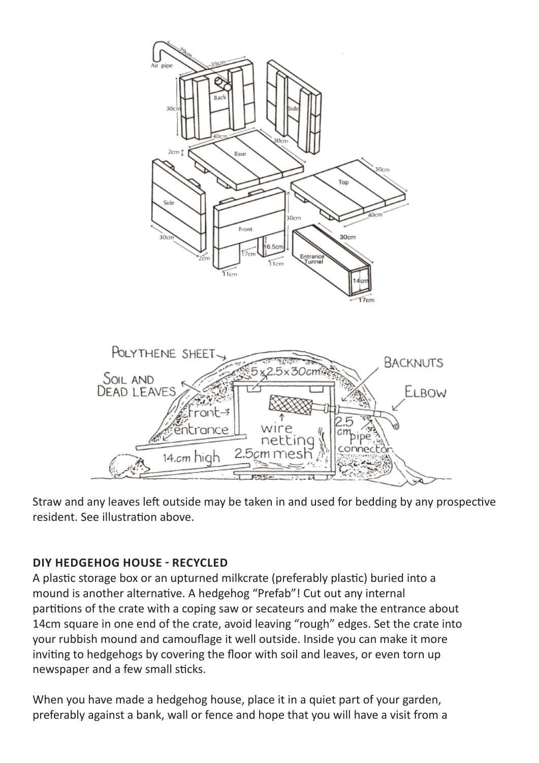

Straw and any leaves left outside may be taken in and used for bedding by any prospective resident. See illustration above.

### **DIY HEDGEHOG HOUSE - RECYCLED**

A plastic storage box or an upturned milkcrate (preferably plastic) buried into a mound is another alternative. A hedgehog "Prefab"! Cut out any internal partitions of the crate with a coping saw or secateurs and make the entrance about 14cm square in one end of the crate, avoid leaving "rough" edges. Set the crate into your rubbish mound and camouflage it well outside. Inside you can make it more inviting to hedgehogs by covering the floor with soil and leaves, or even torn up newspaper and a few small sticks.

When you have made a hedgehog house, place it in a quiet part of your garden, preferably against a bank, wall or fence and hope that you will have a visit from a